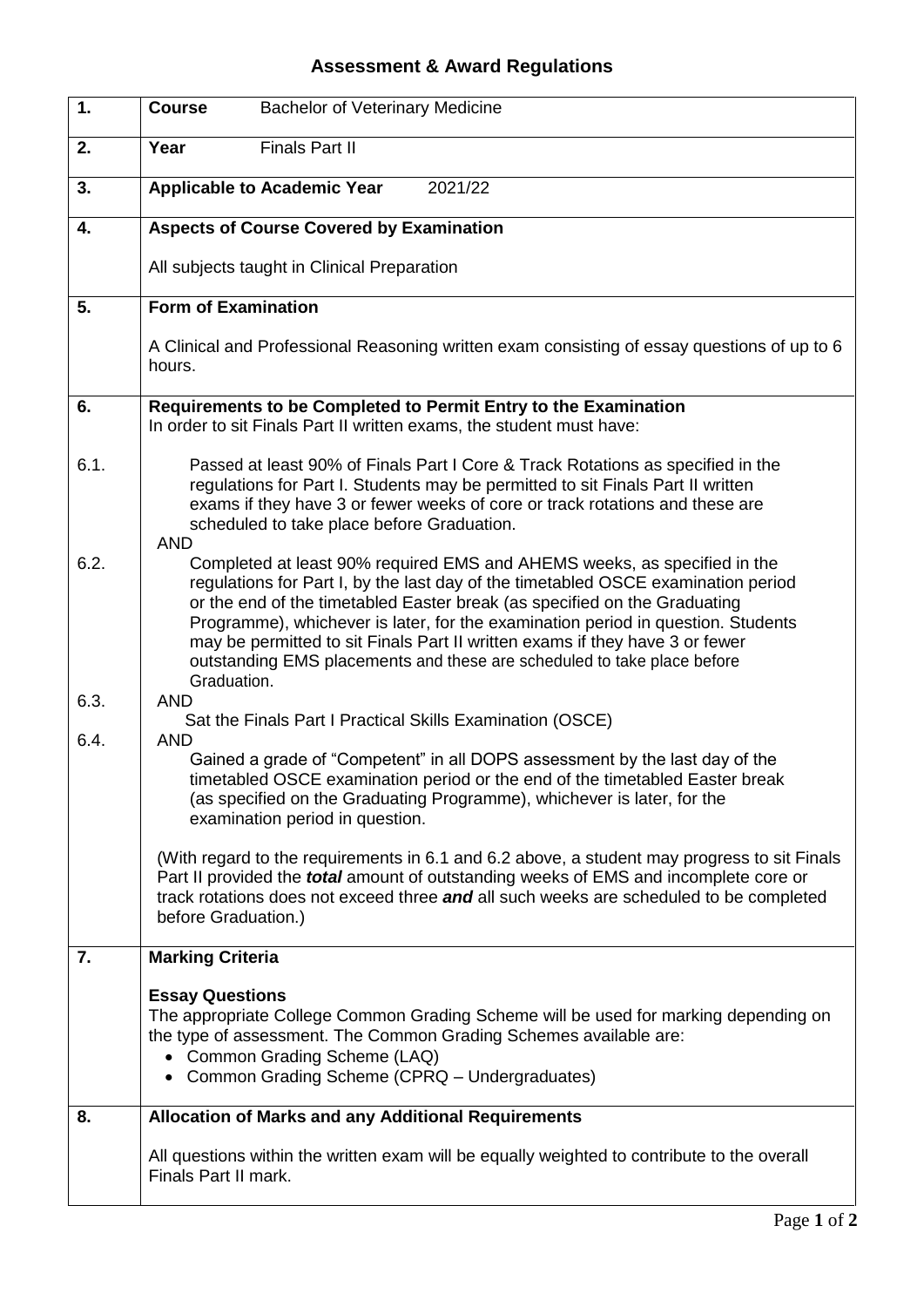## **Assessment & Award Regulations**

| 1.   | <b>Course</b><br><b>Bachelor of Veterinary Medicine</b>                                                                                                                                                                                                                                                                                                                                                                                                                                                  |
|------|----------------------------------------------------------------------------------------------------------------------------------------------------------------------------------------------------------------------------------------------------------------------------------------------------------------------------------------------------------------------------------------------------------------------------------------------------------------------------------------------------------|
| 2.   | <b>Finals Part II</b><br>Year                                                                                                                                                                                                                                                                                                                                                                                                                                                                            |
| 3.   | <b>Applicable to Academic Year</b><br>2021/22                                                                                                                                                                                                                                                                                                                                                                                                                                                            |
| 4.   | <b>Aspects of Course Covered by Examination</b>                                                                                                                                                                                                                                                                                                                                                                                                                                                          |
|      | All subjects taught in Clinical Preparation                                                                                                                                                                                                                                                                                                                                                                                                                                                              |
| 5.   | <b>Form of Examination</b>                                                                                                                                                                                                                                                                                                                                                                                                                                                                               |
|      | A Clinical and Professional Reasoning written exam consisting of essay questions of up to 6<br>hours.                                                                                                                                                                                                                                                                                                                                                                                                    |
| 6.   | Requirements to be Completed to Permit Entry to the Examination<br>In order to sit Finals Part II written exams, the student must have:                                                                                                                                                                                                                                                                                                                                                                  |
| 6.1. | Passed at least 90% of Finals Part I Core & Track Rotations as specified in the<br>regulations for Part I. Students may be permitted to sit Finals Part II written<br>exams if they have 3 or fewer weeks of core or track rotations and these are<br>scheduled to take place before Graduation.<br><b>AND</b>                                                                                                                                                                                           |
| 6.2. | Completed at least 90% required EMS and AHEMS weeks, as specified in the<br>regulations for Part I, by the last day of the timetabled OSCE examination period<br>or the end of the timetabled Easter break (as specified on the Graduating<br>Programme), whichever is later, for the examination period in question. Students<br>may be permitted to sit Finals Part II written exams if they have 3 or fewer<br>outstanding EMS placements and these are scheduled to take place before<br>Graduation. |
| 6.3. | <b>AND</b><br>Sat the Finals Part I Practical Skills Examination (OSCE)                                                                                                                                                                                                                                                                                                                                                                                                                                  |
| 6.4. | <b>AND</b><br>Gained a grade of "Competent" in all DOPS assessment by the last day of the<br>timetabled OSCE examination period or the end of the timetabled Easter break<br>(as specified on the Graduating Programme), whichever is later, for the<br>examination period in question.                                                                                                                                                                                                                  |
|      | (With regard to the requirements in 6.1 and 6.2 above, a student may progress to sit Finals<br>Part II provided the <i>total</i> amount of outstanding weeks of EMS and incomplete core or<br>track rotations does not exceed three and all such weeks are scheduled to be completed<br>before Graduation.)                                                                                                                                                                                              |
| 7.   | <b>Marking Criteria</b>                                                                                                                                                                                                                                                                                                                                                                                                                                                                                  |
|      | <b>Essay Questions</b><br>The appropriate College Common Grading Scheme will be used for marking depending on<br>the type of assessment. The Common Grading Schemes available are:<br>• Common Grading Scheme (LAQ)<br>• Common Grading Scheme (CPRQ - Undergraduates)                                                                                                                                                                                                                                   |
| 8.   | <b>Allocation of Marks and any Additional Requirements</b>                                                                                                                                                                                                                                                                                                                                                                                                                                               |
|      | All questions within the written exam will be equally weighted to contribute to the overall<br>Finals Part II mark.                                                                                                                                                                                                                                                                                                                                                                                      |